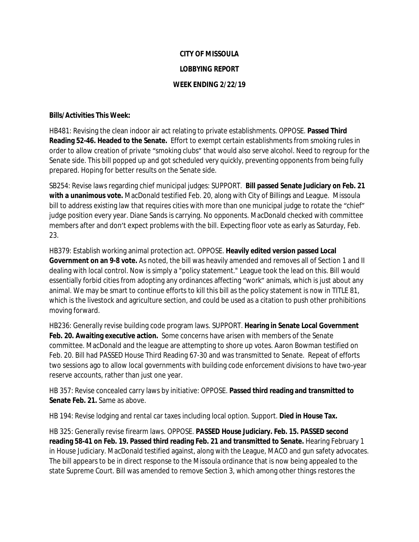## **CITY OF MISSOULA LOBBYING REPORT WEEK ENDING 2/22/19**

## **Bills/Activities This Week:**

HB481: Revising the clean indoor air act relating to private establishments. OPPOSE. **Passed Third Reading 52-46. Headed to the Senate.** Effort to exempt certain establishments from smoking rules in order to allow creation of private "smoking clubs" that would also serve alcohol. Need to regroup for the Senate side. This bill popped up and got scheduled very quickly, preventing opponents from being fully prepared. Hoping for better results on the Senate side.

SB254: Revise laws regarding chief municipal judges: SUPPORT. **Bill passed Senate Judiciary on Feb. 21 with a unanimous vote.** MacDonald testified Feb. 20, along with City of Billings and League. Missoula bill to address existing law that requires cities with more than one municipal judge to rotate the "chief" judge position every year. Diane Sands is carrying. No opponents. MacDonald checked with committee members after and don't expect problems with the bill. Expecting floor vote as early as Saturday, Feb. 23.

HB379: Establish working animal protection act. OPPOSE. **Heavily edited version passed Local Government on an 9-8 vote.** As noted, the bill was heavily amended and removes all of Section 1 and II dealing with local control. Now is simply a "policy statement." League took the lead on this. Bill would essentially forbid cities from adopting any ordinances affecting "work" animals, which is just about any animal. We may be smart to continue efforts to kill this bill as the policy statement is now in TITLE 81, which is the livestock and agriculture section, and could be used as a citation to push other prohibitions moving forward.

HB236: Generally revise building code program laws. SUPPORT. **Hearing in Senate Local Government Feb. 20. Awaiting executive action.** Some concerns have arisen with members of the Senate committee. MacDonald and the league are attempting to shore up votes. Aaron Bowman testified on Feb. 20. Bill had PASSED House Third Reading 67-30 and was transmitted to Senate. Repeat of efforts two sessions ago to allow local governments with building code enforcement divisions to have two-year reserve accounts, rather than just one year.

HB 357: Revise concealed carry laws by initiative: OPPOSE. **Passed third reading and transmitted to Senate Feb. 21.** Same as above.

HB 194: Revise lodging and rental car taxes including local option. Support. **Died in House Tax.**

HB 325: Generally revise firearm laws. OPPOSE. **PASSED House Judiciary. Feb. 15. PASSED second reading 58-41 on Feb. 19. Passed third reading Feb. 21 and transmitted to Senate.** Hearing February 1 in House Judiciary. MacDonald testified against, along with the League, MACO and gun safety advocates. The bill appears to be in direct response to the Missoula ordinance that is now being appealed to the state Supreme Court. Bill was amended to remove Section 3, which among other things restores the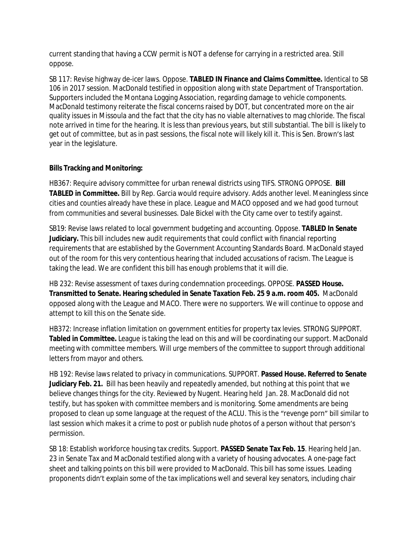current standing that having a CCW permit is NOT a defense for carrying in a restricted area. Still oppose.

SB 117: Revise highway de-icer laws. Oppose. **TABLED IN Finance and Claims Committee.** Identical to SB 106 in 2017 session. MacDonald testified in opposition along with state Department of Transportation. Supporters included the Montana Logging Association, regarding damage to vehicle components. MacDonald testimony reiterate the fiscal concerns raised by DOT, but concentrated more on the air quality issues in Missoula and the fact that the city has no viable alternatives to mag chloride. The fiscal note arrived in time for the hearing. It is less than previous years, but still substantial. The bill is likely to get out of committee, but as in past sessions, the fiscal note will likely kill it. This is Sen. Brown's last year in the legislature.

## **Bills Tracking and Monitoring:**

HB367: Require advisory committee for urban renewal districts using TIFS. STRONG OPPOSE. **Bill TABLED in Committee.** Bill by Rep. Garcia would require advisory. Adds another level. Meaningless since cities and counties already have these in place. League and MACO opposed and we had good turnout from communities and several businesses. Dale Bickel with the City came over to testify against.

SB19: Revise laws related to local government budgeting and accounting. Oppose. **TABLED In Senate Judiciary.** This bill includes new audit requirements that could conflict with financial reporting requirements that are established by the Government Accounting Standards Board. MacDonald stayed out of the room for this very contentious hearing that included accusations of racism. The League is taking the lead. We are confident this bill has enough problems that it will die.

HB 232: Revise assessment of taxes during condemnation proceedings. OPPOSE. **PASSED House. Transmitted to Senate. Hearing scheduled in Senate Taxation Feb. 25 9 a.m. room 405.** MacDonald opposed along with the League and MACO. There were no supporters. We will continue to oppose and attempt to kill this on the Senate side.

HB372: Increase inflation limitation on government entities for property tax levies. STRONG SUPPORT. **Tabled in Committee.** League is taking the lead on this and will be coordinating our support. MacDonald meeting with committee members. Will urge members of the committee to support through additional letters from mayor and others.

HB 192: Revise laws related to privacy in communications. SUPPORT. **Passed House. Referred to Senate Judiciary Feb. 21.** Bill has been heavily and repeatedly amended, but nothing at this point that we believe changes things for the city. Reviewed by Nugent. Hearing held Jan. 28. MacDonald did not testify, but has spoken with committee members and is monitoring. Some amendments are being proposed to clean up some language at the request of the ACLU. This is the "revenge porn" bill similar to last session which makes it a crime to post or publish nude photos of a person without that person's permission.

SB 18: Establish workforce housing tax credits. Support. **PASSED Senate Tax Feb. 15**. Hearing held Jan. 23 in Senate Tax and MacDonald testified along with a variety of housing advocates. A one-page fact sheet and talking points on this bill were provided to MacDonald. This bill has some issues. Leading proponents didn't explain some of the tax implications well and several key senators, including chair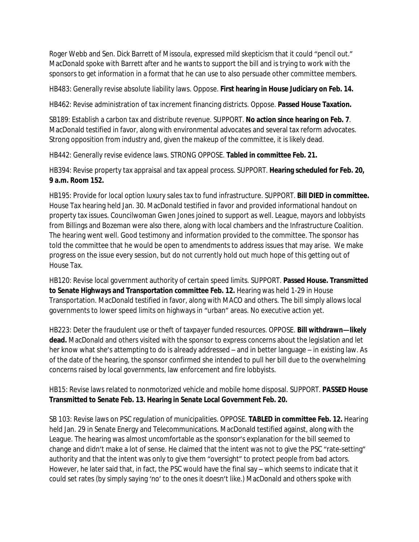Roger Webb and Sen. Dick Barrett of Missoula, expressed mild skepticism that it could "pencil out." MacDonald spoke with Barrett after and he wants to support the bill and is trying to work with the sponsors to get information in a format that he can use to also persuade other committee members.

HB483: Generally revise absolute liability laws. Oppose. **First hearing in House Judiciary on Feb. 14.**

HB462: Revise administration of tax increment financing districts. Oppose. **Passed House Taxation.**

SB189: Establish a carbon tax and distribute revenue. SUPPORT. **No action since hearing on Feb. 7**. MacDonald testified in favor, along with environmental advocates and several tax reform advocates. Strong opposition from industry and, given the makeup of the committee, it is likely dead.

HB442: Generally revise evidence laws. STRONG OPPOSE. **Tabled in committee Feb. 21.**

HB394: Revise property tax appraisal and tax appeal process. SUPPORT. **Hearing scheduled for Feb. 20, 9 a.m. Room 152.**

HB195: Provide for local option luxury sales tax to fund infrastructure. SUPPORT. **Bill DIED in committee.** House Tax hearing held Jan. 30. MacDonald testified in favor and provided informational handout on property tax issues. Councilwoman Gwen Jones joined to support as well. League, mayors and lobbyists from Billings and Bozeman were also there, along with local chambers and the Infrastructure Coalition. The hearing went well. Good testimony and information provided to the committee. The sponsor has told the committee that he would be open to amendments to address issues that may arise. We make progress on the issue every session, but do not currently hold out much hope of this getting out of House Tax.

HB120: Revise local government authority of certain speed limits. SUPPORT. **Passed House. Transmitted to Senate Highways and Transportation committee Feb. 12.** Hearing was held 1-29 in House Transportation. MacDonald testified in favor, along with MACO and others. The bill simply allows local governments to lower speed limits on highways in "urban" areas. No executive action yet.

HB223: Deter the fraudulent use or theft of taxpayer funded resources. OPPOSE. **Bill withdrawn—likely dead.** MacDonald and others visited with the sponsor to express concerns about the legislation and let her know what she's attempting to do is already addressed – and in better language – in existing law. As of the date of the hearing, the sponsor confirmed she intended to pull her bill due to the overwhelming concerns raised by local governments, law enforcement and fire lobbyists.

HB15: Revise laws related to nonmotorized vehicle and mobile home disposal. SUPPORT. **PASSED House Transmitted to Senate Feb. 13. Hearing in Senate Local Government Feb. 20.**

SB 103: Revise laws on PSC regulation of municipalities. OPPOSE. **TABLED in committee Feb. 12.** Hearing held Jan. 29 in Senate Energy and Telecommunications. MacDonald testified against, along with the League. The hearing was almost uncomfortable as the sponsor's explanation for the bill seemed to change and didn't make a lot of sense. He claimed that the intent was not to give the PSC "rate-setting" authority and that the intent was only to give them "oversight" to protect people from bad actors. However, he later said that, in fact, the PSC would have the final say – which seems to indicate that it could set rates (by simply saying 'no' to the ones it doesn't like.) MacDonald and others spoke with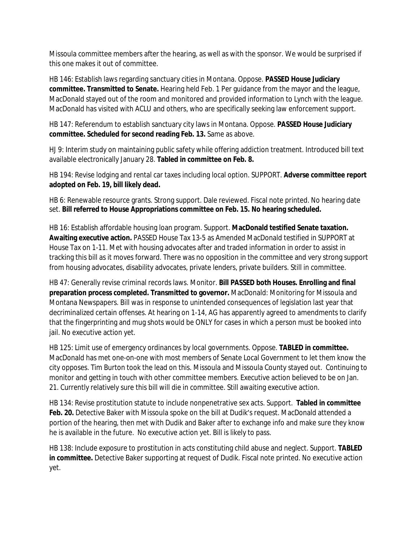Missoula committee members after the hearing, as well as with the sponsor. We would be surprised if this one makes it out of committee.

HB 146: Establish laws regarding sanctuary cities in Montana. Oppose. **PASSED House Judiciary committee. Transmitted to Senate.** Hearing held Feb. 1 Per guidance from the mayor and the league, MacDonald stayed out of the room and monitored and provided information to Lynch with the league. MacDonald has visited with ACLU and others, who are specifically seeking law enforcement support.

HB 147: Referendum to establish sanctuary city laws in Montana. Oppose. **PASSED House Judiciary committee. Scheduled for second reading Feb. 13.** Same as above.

HJ 9: Interim study on maintaining public safety while offering addiction treatment. Introduced bill text available electronically January 28. **Tabled in committee on Feb. 8.**

HB 194: Revise lodging and rental car taxes including local option. SUPPORT. **Adverse committee report adopted on Feb. 19, bill likely dead.**

HB 6: Renewable resource grants. Strong support. Dale reviewed. Fiscal note printed. No hearing date set. **Bill referred to House Appropriations committee on Feb. 15. No hearing scheduled.**

HB 16: Establish affordable housing loan program. Support. **MacDonald testified Senate taxation. Awaiting executive action.** PASSED House Tax 13-5 as Amended MacDonald testified in SUPPORT at House Tax on 1-11. Met with housing advocates after and traded information in order to assist in tracking this bill as it moves forward. There was no opposition in the committee and very strong support from housing advocates, disability advocates, private lenders, private builders. Still in committee.

HB 47: Generally revise criminal records laws. Monitor. **Bill PASSED both Houses. Enrolling and final preparation process completed. Transmitted to governor.** MacDonald: Monitoring for Missoula and Montana Newspapers. Bill was in response to unintended consequences of legislation last year that decriminalized certain offenses. At hearing on 1-14, AG has apparently agreed to amendments to clarify that the fingerprinting and mug shots would be ONLY for cases in which a person must be booked into jail. No executive action yet.

HB 125: Limit use of emergency ordinances by local governments. Oppose. **TABLED in committee.** MacDonald has met one-on-one with most members of Senate Local Government to let them know the city opposes. Tim Burton took the lead on this. Missoula and Missoula County stayed out. Continuing to monitor and getting in touch with other committee members. Executive action believed to be on Jan. 21. Currently relatively sure this bill will die in committee. Still awaiting executive action.

HB 134: Revise prostitution statute to include nonpenetrative sex acts. Support. **Tabled in committee**  Feb. 20. Detective Baker with Missoula spoke on the bill at Dudik's request. MacDonald attended a portion of the hearing, then met with Dudik and Baker after to exchange info and make sure they know he is available in the future. No executive action yet. Bill is likely to pass.

HB 138: Include exposure to prostitution in acts constituting child abuse and neglect. Support. **TABLED in committee.** Detective Baker supporting at request of Dudik. Fiscal note printed. No executive action yet.